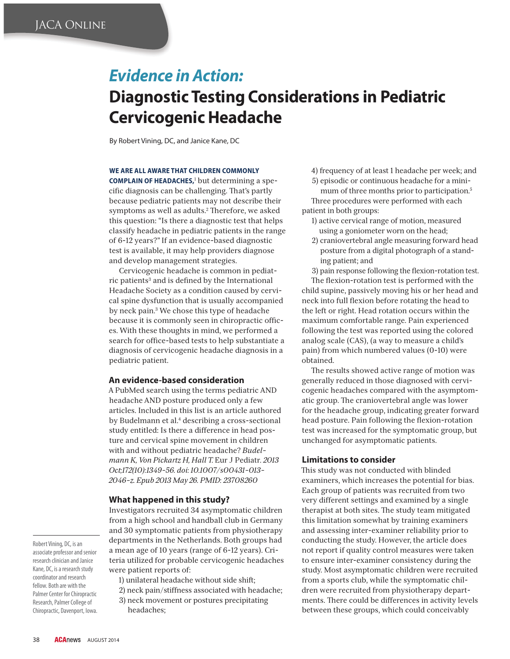# *Evidence in Action:* **Diagnostic Testing Considerations in Pediatric Cervicogenic Headache**

By Robert Vining, DC, and Janice Kane, DC

#### **WE ARE ALL AWARE THAT CHILDREN COMMONLY**

**COMPLAIN OF HEADACHES,<sup>1</sup> but determining a spe**cific diagnosis can be challenging. That's partly because pediatric patients may not describe their symptoms as well as adults.<sup>2</sup> Therefore, we asked this question: "Is there a diagnostic test that helps classify headache in pediatric patients in the range of 6-12 years?" If an evidence-based diagnostic test is available, it may help providers diagnose and develop management strategies.

Cervicogenic headache is common in pediatric patients<sup>3</sup> and is defined by the International Headache Society as a condition caused by cervical spine dysfunction that is usually accompanied by neck pain.3 We chose this type of headache because it is commonly seen in chiropractic offices. With these thoughts in mind, we performed a search for office-based tests to help substantiate a diagnosis of cervicogenic headache diagnosis in a pediatric patient.

#### **An evidence-based consideration**

A PubMed search using the terms pediatric AND headache AND posture produced only a few articles. Included in this list is an article authored by Budelmann et al.<sup>4</sup> describing a cross-sectional study entitled: Is there a difference in head posture and cervical spine movement in children with and without pediatric headache? *Budelmann K, Von Pickartz H, Hall T.* Eur J Pediatr*. 2013 Oct;172(10):1349-56. doi: 10.1007/s00431-013- 2046-z. Epub 2013 May 26. PMID: 23708260* 

## **What happened in this study?**

Investigators recruited 34 asymptomatic children from a high school and handball club in Germany and 30 symptomatic patients from physiotherapy departments in the Netherlands. Both groups had a mean age of 10 years (range of 6-12 years). Criteria utilized for probable cervicogenic headaches were patient reports of:

- 1) unilateral headache without side shift;
- 2) neck pain/stiffness associated with headache;
- 3) neck movement or postures precipitating
- headaches;

4) frequency of at least 1 headache per week; and

5) episodic or continuous headache for a minimum of three months prior to participation.<sup>5</sup> Three procedures were performed with each patient in both groups:

- 1) active cervical range of motion, measured using a goniometer worn on the head;
- 2) craniovertebral angle measuring forward head posture from a digital photograph of a standing patient; and

3) pain response following the flexion-rotation test.

The flexion-rotation test is performed with the child supine, passively moving his or her head and neck into full flexion before rotating the head to the left or right. Head rotation occurs within the maximum comfortable range. Pain experienced following the test was reported using the colored analog scale (CAS), (a way to measure a child's pain) from which numbered values (0-10) were obtained.

The results showed active range of motion was generally reduced in those diagnosed with cervicogenic headaches compared with the asymptomatic group. The craniovertebral angle was lower for the headache group, indicating greater forward head posture. Pain following the flexion-rotation test was increased for the symptomatic group, but unchanged for asymptomatic patients.

## **Limitations to consider**

This study was not conducted with blinded examiners, which increases the potential for bias. Each group of patients was recruited from two very different settings and examined by a single therapist at both sites. The study team mitigated this limitation somewhat by training examiners and assessing inter-examiner reliability prior to conducting the study. However, the article does not report if quality control measures were taken to ensure inter-examiner consistency during the study. Most asymptomatic children were recruited from a sports club, while the symptomatic children were recruited from physiotherapy departments. There could be differences in activity levels between these groups, which could conceivably

Robert Vining, DC, is an associate professor and senior research clinician and Janice Kane, DC, is a research study coordinator and research fellow. Both are with the Palmer Center for Chiropractic Research, Palmer College of Chiropractic, Davenport, Iowa.